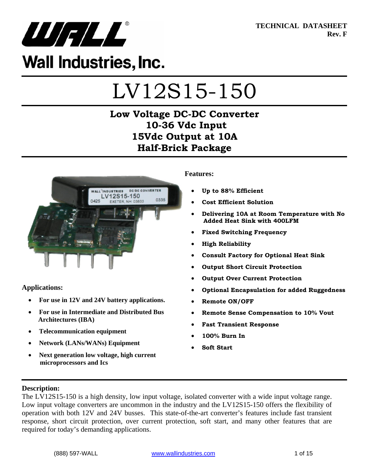

**TECHNICAL DATASHEET Rev. F** 

## **Wall Industries, Inc.**

# LV12S15-150

## **Low Voltage DC-DC Converter 10-36 Vdc Input 15Vdc Output at 10A Half-Brick Package**



**Applications:** 

- **For use in 12V and 24V battery applications.**
- **For use in Intermediate and Distributed Bus Architectures (IBA)**
- **Telecommunication equipment**
- **Network (LANs/WANs) Equipment**
- **Next generation low voltage, high current microprocessors and Ics**

#### **Features:**

- **Up to 88% Efficient**
- **Cost Efficient Solution**
- **Delivering 10A at Room Temperature with No Added Heat Sink with 400LFM**
- **Fixed Switching Frequency**
- **High Reliability**
- **Consult Factory for Optional Heat Sink**
- **Output Short Circuit Protection**
- **Output Over Current Protection**
- **Optional Encapsulation for added Ruggedness**
- **Remote ON/OFF**
- **Remote Sense Compensation to 10% Vout**
- **Fast Transient Response**
- **100% Burn In**
- **Soft Start**

#### **Description:**

The LV12S15-150 is a high density, low input voltage, isolated converter with a wide input voltage range. Low input voltage converters are uncommon in the industry and the LV12S15-150 offers the flexibility of operation with both 12V and 24V busses. This state-of-the-art converter's features include fast transient response, short circuit protection, over current protection, soft start, and many other features that are required for today's demanding applications.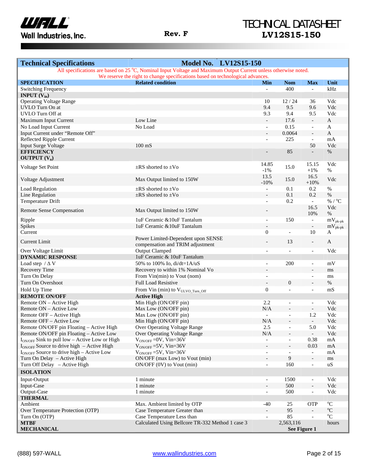

## TECHNICAL DATASHEET **Rev. F LV12S15-150**

| <b>Technical Specifications</b>                              | <b>Model No. LV12S15-150</b>                                                                                    |                          |                              |                          |                           |
|--------------------------------------------------------------|-----------------------------------------------------------------------------------------------------------------|--------------------------|------------------------------|--------------------------|---------------------------|
|                                                              | All specifications are based on 25 °C, Nominal Input Voltage and Maximum Output Current unless otherwise noted. |                          |                              |                          |                           |
|                                                              | We reserve the right to change specifications based on technological advances.                                  |                          |                              |                          |                           |
| <b>SPECIFICATION</b>                                         | <b>Related condition</b>                                                                                        | Min                      | <b>Nom</b>                   | <b>Max</b>               | Unit                      |
| <b>Switching Frequency</b>                                   |                                                                                                                 | $\mathbf{r}$             | 400                          | $\equiv$                 | kHz                       |
| <b>INPUT</b> $(V_{in})$                                      |                                                                                                                 | 10                       | 12/24                        |                          | Vdc                       |
| <b>Operating Voltage Range</b><br>UVLO Turn On at            |                                                                                                                 | 9.4                      | 9.5                          | 36<br>9.6                | Vdc                       |
| <b>UVLO</b> Turn Off at                                      |                                                                                                                 | 9.3                      | 9.4                          | 9.5                      | Vdc                       |
|                                                              | Low Line                                                                                                        |                          | 17.6                         |                          | $\mathbf{A}$              |
| Maximum Input Current                                        |                                                                                                                 | $\overline{\phantom{a}}$ |                              | $\overline{\phantom{a}}$ |                           |
| No Load Input Current                                        | No Load                                                                                                         | $\overline{\phantom{a}}$ | 0.15<br>0.0064               | $\overline{\phantom{a}}$ | A<br>$\mathbf{A}$         |
| Input Current under "Remote Off"<br>Reflected Ripple Current |                                                                                                                 | $\overline{\phantom{a}}$ | 225                          | $\Box$<br>$\mathcal{L}$  | mA                        |
|                                                              | $100 \text{ mS}$                                                                                                | $\overline{a}$           |                              | 50                       | Vdc                       |
| <b>Input Surge Voltage</b><br><b>EFFICIENCY</b>              |                                                                                                                 |                          | 85                           |                          | $\%$                      |
|                                                              |                                                                                                                 | $\overline{a}$           |                              | $\overline{\phantom{a}}$ |                           |
| <b>OUTPUT</b> $(V_0)$                                        |                                                                                                                 | 14.85                    |                              |                          | Vdc                       |
| Voltage Set Point                                            | $\pm$ RS shorted to $\pm$ Vo                                                                                    | $-1\%$                   | 15.0                         | 15.15<br>$+1\%$          | $\%$                      |
|                                                              |                                                                                                                 |                          |                              | 16.5                     |                           |
| Voltage Adjustment                                           | Max Output limited to 150W                                                                                      | 13.5<br>$-10%$           | 15.0                         | $+10%$                   | Vdc                       |
| Load Regulation                                              | $\pm$ RS shorted to $\pm$ Vo                                                                                    | $\blacksquare$           | 0.1                          | 0.2                      | $\%$                      |
| Line Regulation                                              | $\pm$ RS shorted to $\pm$ Vo                                                                                    | $\overline{a}$           | 0.1                          | 0.2                      | $\%$                      |
| Temperature Drift                                            |                                                                                                                 | $\overline{a}$           | 0.2                          | $\blacksquare$           | % / $^{\circ}$ C          |
|                                                              |                                                                                                                 |                          |                              | 16.5                     | Vdc                       |
| Remote Sense Compensation                                    | Max Output limited to 150W                                                                                      |                          |                              | 10%                      | $\%$                      |
| Ripple                                                       | 1uF Ceramic & 10uF Tantalum                                                                                     | $\blacksquare$           | 150                          | $\blacksquare$           | $mV_{pk-pk}$              |
| Spikes                                                       | 1uF Ceramic & 10uF Tantalum                                                                                     |                          |                              | $\overline{\phantom{a}}$ | $mV_{pk-pk}$              |
| Current                                                      |                                                                                                                 | $\boldsymbol{0}$         | $\overline{a}$               | 10                       | A                         |
|                                                              | Power Limited-Dependent upon SENSE                                                                              |                          |                              |                          |                           |
| <b>Current Limit</b>                                         | compensation and TRIM adjustment                                                                                | $\overline{\phantom{a}}$ | 13                           | $\overline{\phantom{a}}$ | $\mathbf{A}$              |
| Over Voltage Limit                                           | <b>Output Clamped</b>                                                                                           | $\overline{a}$           | $\overline{a}$               | $\blacksquare$           | Vdc                       |
| <b>DYNAMIC RESPONSE</b>                                      | 1uF Ceramic & 10uF Tantalum                                                                                     |                          |                              |                          |                           |
| Load step $/\Delta V$                                        | 50% to 100% Io, di/dt=1A/uS                                                                                     |                          | 200                          | $\overline{\phantom{a}}$ | mV                        |
| Recovery Time                                                | Recovery to within 1% Nominal Vo                                                                                |                          |                              | $\overline{\phantom{a}}$ | ms                        |
| Turn On Delay                                                | From Vin(min) to Vout (nom)                                                                                     | $\overline{a}$           |                              | $\overline{\phantom{a}}$ | ms                        |
| Turn On Overshoot                                            | Full Load Resistive                                                                                             | $\overline{\phantom{a}}$ | $\boldsymbol{0}$             |                          | $\%$                      |
| Hold Up Time                                                 | From Vin (min) to VULVO_Turn_Off                                                                                | $\boldsymbol{0}$         | $\overline{a}$               | $\bar{\phantom{a}}$      | mS                        |
| <b>REMOTE ON/OFF</b>                                         | <b>Active High</b>                                                                                              |                          |                              |                          |                           |
| Remote ON - Active High                                      | Min High (ON/OFF pin)                                                                                           | 2.2                      | $\overline{a}$               | $\blacksquare$           | Vdc                       |
| Remote ON - Active Low                                       | Max Low (ON/OFF pin)                                                                                            | N/A                      |                              | $\overline{\phantom{a}}$ | Vdc                       |
| Remote OFF - Active High                                     | Max Low (ON/OFF pin)                                                                                            | $\overline{a}$           | $\overline{a}$               | 1.2                      | Vdc                       |
| Remote OFF - Active Low                                      | Min High (ON/OFF pin)                                                                                           | N/A                      |                              | $\Box$                   | Vdc                       |
| Remote ON/OFF pin Floating - Active High                     | Over Operating Voltage Range                                                                                    | $2.5\,$                  | $\overline{\phantom{0}}$     | 5.0                      | Vdc                       |
| Remote ON/OFF pin Floating - Active Low                      | Over Operating Voltage Range                                                                                    | N/A                      |                              | $\overline{\phantom{a}}$ | Vdc                       |
| $I_{ON/OFF}$ Sink to pull low – Active Low or High           | $V_{ON/OFF}$ =0V, Vin=36V                                                                                       | $\blacksquare$           | $\overline{\phantom{0}}$     | 0.38                     | mA                        |
| $I_{ON/OFF}$ Source to drive high - Active High              | $V_{ON/OFF}$ =5V, Vin=36V                                                                                       | $\overline{a}$           | $\frac{1}{2}$                | 0.03                     | mA                        |
| $I_{ON/OFF}$ Source to drive high – Active Low               | $V_{ON/OFF} = 5V$ , Vin=36V                                                                                     | $\overline{\phantom{a}}$ | $\qquad \qquad \blacksquare$ | $\overline{\phantom{a}}$ | mA                        |
| Turn On Delay - Active High                                  | ON/OFF (max Low) to Vout (min)                                                                                  |                          | 9                            | $\overline{\phantom{a}}$ | ms                        |
| Turn Off Delay - Active High                                 | $ON/OFF (0V)$ to Vout (min)                                                                                     | $\overline{\phantom{a}}$ | 160                          | $\overline{\phantom{a}}$ | uS                        |
|                                                              |                                                                                                                 |                          |                              |                          |                           |
| <b>ISOLATION</b>                                             |                                                                                                                 |                          |                              |                          |                           |
| Input-Output                                                 | 1 minute                                                                                                        | $\overline{\phantom{a}}$ | 1500                         | $\overline{\phantom{a}}$ | Vdc                       |
| Input-Case                                                   | 1 minute                                                                                                        | $\overline{\phantom{a}}$ | 500                          | $\Box$                   | Vdc                       |
| Output-Case                                                  | 1 minute                                                                                                        | $\overline{\phantom{a}}$ | 500                          | $\overline{\phantom{a}}$ | Vdc                       |
| <b>THERMAL</b>                                               |                                                                                                                 |                          |                              |                          |                           |
| Ambient                                                      | Max. Ambient limited by OTP                                                                                     | $-40$                    | 25                           | <b>OTP</b>               | $\mathrm{C}^{\circ}$      |
| Over Temperature Protection (OTP)                            | Case Temperature Greater than                                                                                   | $\overline{\phantom{a}}$ | 95                           | $\overline{\phantom{a}}$ | $^{\mathrm{o}}\mathrm{C}$ |
| Turn On (OTP)                                                | Case Temperature Less than                                                                                      | $\overline{a}$           | 85                           | $\overline{a}$           | $\rm ^{o}C$               |
| <b>MTBF</b><br><b>MECHANICAL</b>                             | Calculated Using Bellcore TR-332 Method 1 case 3                                                                |                          | 2,563,116<br>See Figure 1    |                          | hours                     |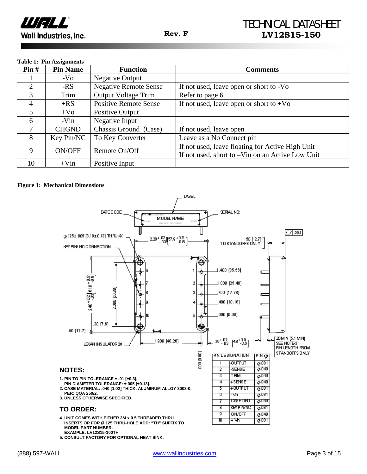

#### **Table 1: Pin Assignments**

| $\text{Pin } H$ | <b>Pin Name</b> | <b>Function</b>              | <b>Comments</b>                                                                                      |
|-----------------|-----------------|------------------------------|------------------------------------------------------------------------------------------------------|
|                 | $-VO$           | Negative Output              |                                                                                                      |
| $\overline{2}$  | -RS             | <b>Negative Remote Sense</b> | If not used, leave open or short to -Vo                                                              |
| 3               | Trim            | <b>Output Voltage Trim</b>   | Refer to page 6                                                                                      |
| 4               | $+RS$           | <b>Positive Remote Sense</b> | If not used, leave open or short to $+V_0$                                                           |
| 5               | $+V_0$          | Positive Output              |                                                                                                      |
| 6               | -Vin            | Negative Input               |                                                                                                      |
| 7               | <b>CHGND</b>    | Chassis Ground (Case)        | If not used, leave open                                                                              |
| 8               | Key Pin/NC      | To Key Converter             | Leave as a No Connect pin                                                                            |
| 9               | ON/OFF          | Remote On/Off                | If not used, leave floating for Active High Unit<br>If not used, short to -Vin on an Active Low Unit |
| 10              | $+V$ in         | Positive Input               |                                                                                                      |

#### **Figure 1: Mechanical Dimensions**



**5. CONSULT FACTORY FOR OPTIONAL HEAT SINK.**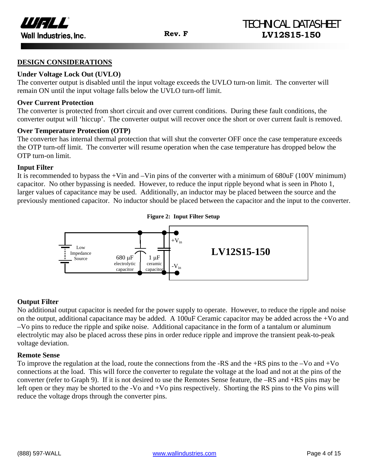

#### **DESIGN CONSIDERATIONS**

#### **Under Voltage Lock Out (UVLO)**

The converter output is disabled until the input voltage exceeds the UVLO turn-on limit. The converter will remain ON until the input voltage falls below the UVLO turn-off limit.

#### **Over Current Protection**

The converter is protected from short circuit and over current conditions. During these fault conditions, the converter output will 'hiccup'. The converter output will recover once the short or over current fault is removed.

#### **Over Temperature Protection (OTP)**

The converter has internal thermal protection that will shut the converter OFF once the case temperature exceeds the OTP turn-off limit. The converter will resume operation when the case temperature has dropped below the OTP turn-on limit.

#### **Input Filter**

It is recommended to bypass the +Vin and  $-V$ in pins of the converter with a minimum of  $680uF (100V minimum)$ capacitor. No other bypassing is needed. However, to reduce the input ripple beyond what is seen in Photo 1, larger values of capacitance may be used. Additionally, an inductor may be placed between the source and the previously mentioned capacitor. No inductor should be placed between the capacitor and the input to the converter.



#### **Output Filter**

No additional output capacitor is needed for the power supply to operate. However, to reduce the ripple and noise on the output, additional capacitance may be added. A 100uF Ceramic capacitor may be added across the +Vo and –Vo pins to reduce the ripple and spike noise. Additional capacitance in the form of a tantalum or aluminum electrolytic may also be placed across these pins in order reduce ripple and improve the transient peak-to-peak voltage deviation.

#### **Remote Sense**

To improve the regulation at the load, route the connections from the -RS and the +RS pins to the –Vo and +Vo connections at the load. This will force the converter to regulate the voltage at the load and not at the pins of the converter (refer to Graph 9). If it is not desired to use the Remotes Sense feature, the –RS and +RS pins may be left open or they may be shorted to the -Vo and +Vo pins respectively. Shorting the RS pins to the Vo pins will reduce the voltage drops through the converter pins.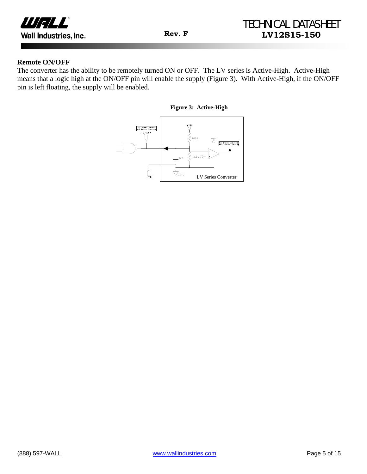

#### **Remote ON/OFF**

The converter has the ability to be remotely turned ON or OFF. The LV series is Active-High. Active-High means that a logic high at the ON/OFF pin will enable the supply (Figure 3). With Active-High, if the ON/OFF pin is left floating, the supply will be enabled.

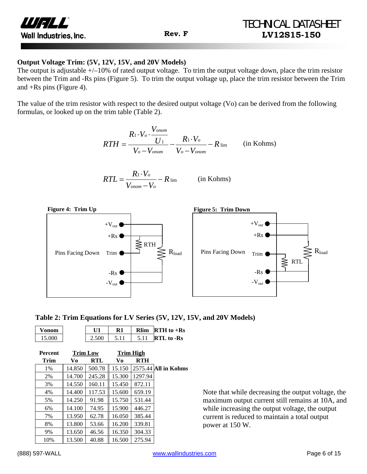

#### **Output Voltage Trim: (5V, 12V, 15V, and 20V Models)**

The output is adjustable  $+/-10\%$  of rated output voltage. To trim the output voltage down, place the trim resistor between the Trim and -Rs pins (Figure 5). To trim the output voltage up, place the trim resistor between the Trim and +Rs pins (Figure 4).

The value of the trim resistor with respect to the desired output voltage (Vo) can be derived from the following formulas, or looked up on the trim table (Table 2).

$$
RTH = \frac{R_1 \cdot V_o \cdot \frac{V_{onom}}{U_1}}{V_o - V_{onom}} - \frac{R_1 \cdot V_o}{V_o - V_{onom}} - R_{\text{lim}} \qquad \text{(in Kohns)}
$$

$$
RTL = \frac{R_1 \cdot V_o}{V_{onom} - V_o} - R_{\text{lim}} \qquad \text{(in Kohns)}
$$



| Table 2: Trim Equations for LV Series (5V, 12V, 15V, and 20V Models) |  |  |
|----------------------------------------------------------------------|--|--|
|----------------------------------------------------------------------|--|--|

| <b>Vonom</b> |     | <b>R</b> lim | <b>RTH</b> to $+$ <b>Rs</b> |
|--------------|-----|--------------|-----------------------------|
| 15.000       | 500 |              | <b>RTL</b> to -Rs           |

| <b>Percent</b> | <b>Trim Low</b> |            | <b>Trim High</b> |            |                      |
|----------------|-----------------|------------|------------------|------------|----------------------|
| <b>Trim</b>    | Vo              | <b>RTL</b> | Vo               | <b>RTH</b> |                      |
| 1%             | 14.850          | 500.78     | 15.150           |            | 2575.44 All in Kohms |
| 2%             | 14.700          | 245.28     | 15.300           | 1297.94    |                      |
| 3%             | 14.550          | 160.11     | 15.450           | 872.11     |                      |
| 4%             | 14.400          | 117.53     | 15.600           | 659.19     |                      |
| 5%             | 14.250          | 91.98      | 15.750           | 531.44     |                      |
| 6%             | 14.100          | 74.95      | 15.900           | 446.27     |                      |
| 7%             | 13.950          | 62.78      | 16.050           | 385.44     |                      |
| 8%             | 13.800          | 53.66      | 16.200           | 339.81     |                      |
| 9%             | 13.650          | 46.56      | 16.350           | 304.33     |                      |
| 10%            | 13.500          | 40.88      | 16.500           | 275.94     |                      |

Note that while decreasing the output voltage, the maximum output current still remains at 10A, and while increasing the output voltage, the output current is reduced to maintain a total output power at 150 W.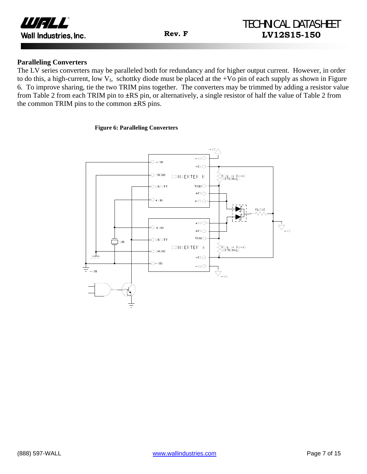

#### **Paralleling Converters**

The LV series converters may be paralleled both for redundancy and for higher output current. However, in order to do this, a high-current, low  $V_f$ , schottky diode must be placed at the +Vo pin of each supply as shown in Figure 6. To improve sharing, tie the two TRIM pins together. The converters may be trimmed by adding a resistor value from Table 2 from each TRIM pin to **±**RS pin, or alternatively, a single resistor of half the value of Table 2 from the common TRIM pins to the common **±**RS pins.

#### **Figure 6: Paralleling Converters**

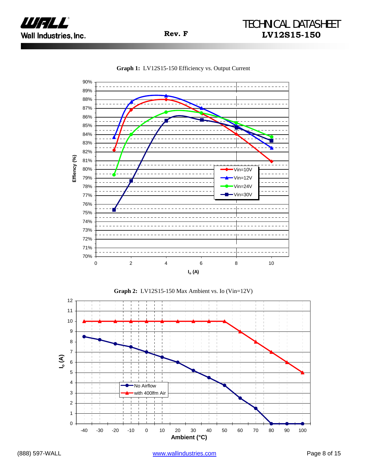







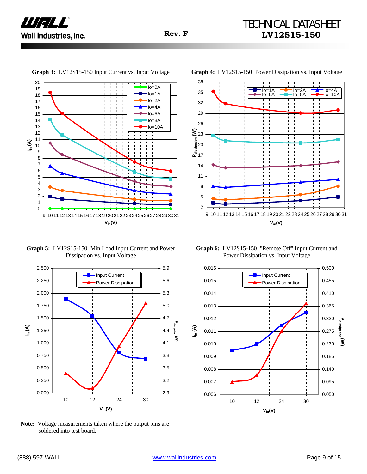

20  $Io=0A$ 19 18  $\cdot$ Io=1A 17 Io=2A 16 Io=4A  $\mathbf{I}$ 15 Io=6A 14 Io=8A 13 Io=10A 12 11 **Iin (A)** 10 9 8 7 6 5 4 3 2 1 0 9 10 11 12 13 1415 16 17 18 19 20 21 22 23 24 2526 27 28 29 30 31 **Vin(V)**

**Graph 3:** LV12S15-150 Input Current vs. Input Voltage **Graph 4:** LV12S15-150 Power Dissipation vs. Input Voltage



**Graph 5:** LV12S15-150 Min Load Input Current and Power Dissipation vs. Input Voltage



**Note:** Voltage measurements taken where the output pins are soldered into test board.

**Graph 6:** LV12S15-150 "Remote Off" Input Current and Power Dissipation vs. Input Voltage

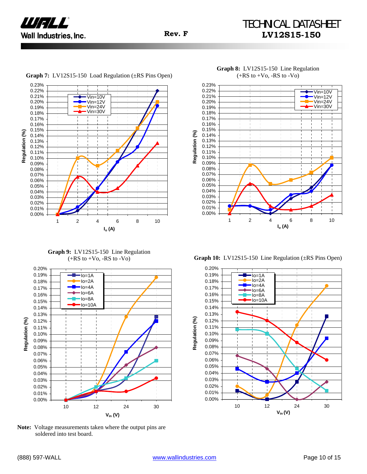



**Graph 7:** LV12S15-150 Load Regulation (±RS Pins Open)

**Graph 9:** LV12S15-150 Line Regulation



**Note:** Voltage measurements taken where the output pins are soldered into test board.



**Graph 8:** LV12S15-150 Line Regulation  $(+RS to +Vo, -RS to -Vo)$ 

(+RS to +Vo, -RS to -Vo) **Graph 10:** LV12S15-150 Line Regulation (±RS Pins Open)

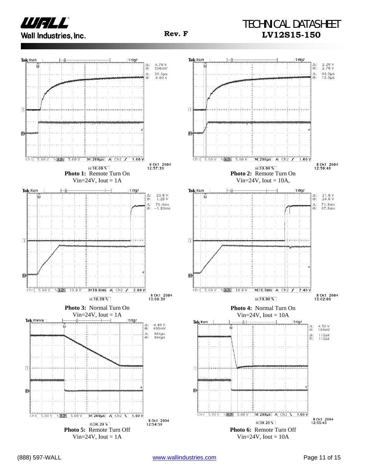

## TECHNICAL DATASHEET **Rev. F LV12S15-150**

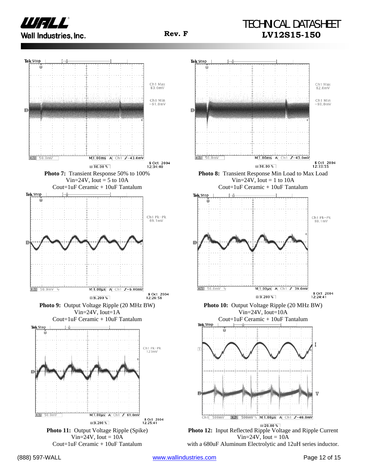

## TECHNICAL DATASHEET **Rev. F LV12S15-150**





 $\frac{1}{20.00 \text{ %}}$ **Photo 12:** Input Reflected Ripple Voltage and Ripple Current Vin= $24V$ , Iout =  $10A$ 

with a 680uF Aluminum Electrolytic and 12uH series inductor.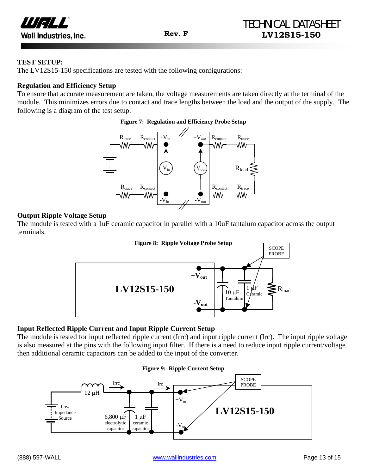

#### **TEST SETUP:**

The LV12S15-150 specifications are tested with the following configurations:

#### **Regulation and Efficiency Setup**

To ensure that accurate measurement are taken, the voltage measurements are taken directly at the terminal of the module. This minimizes errors due to contact and trace lengths between the load and the output of the supply. The following is a diagram of the test setup.

#### **Figure 7: Regulation and Efficiency Probe Setup**



#### **Output Ripple Voltage Setup**

The module is tested with a 1uF ceramic capacitor in parallel with a 10uF tantalum capacitor across the output terminals.



#### **Input Reflected Ripple Current and Input Ripple Current Setup**

The module is tested for input reflected ripple current (Irrc) and input ripple current (Irc). The input ripple voltage is also measured at the pins with the following input filter. If there is a need to reduce input ripple current/voltage then additional ceramic capacitors can be added to the input of the converter.

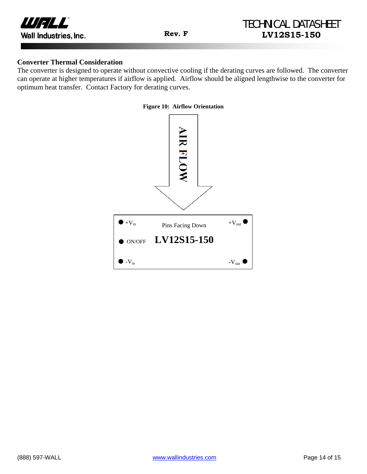

#### **Converter Thermal Consideration**

The converter is designed to operate without convective cooling if the derating curves are followed. The converter can operate at higher temperatures if airflow is applied. Airflow should be aligned lengthwise to the converter for optimum heat transfer. Contact Factory for derating curves.

#### **Figure 10: Airflow Orientation**